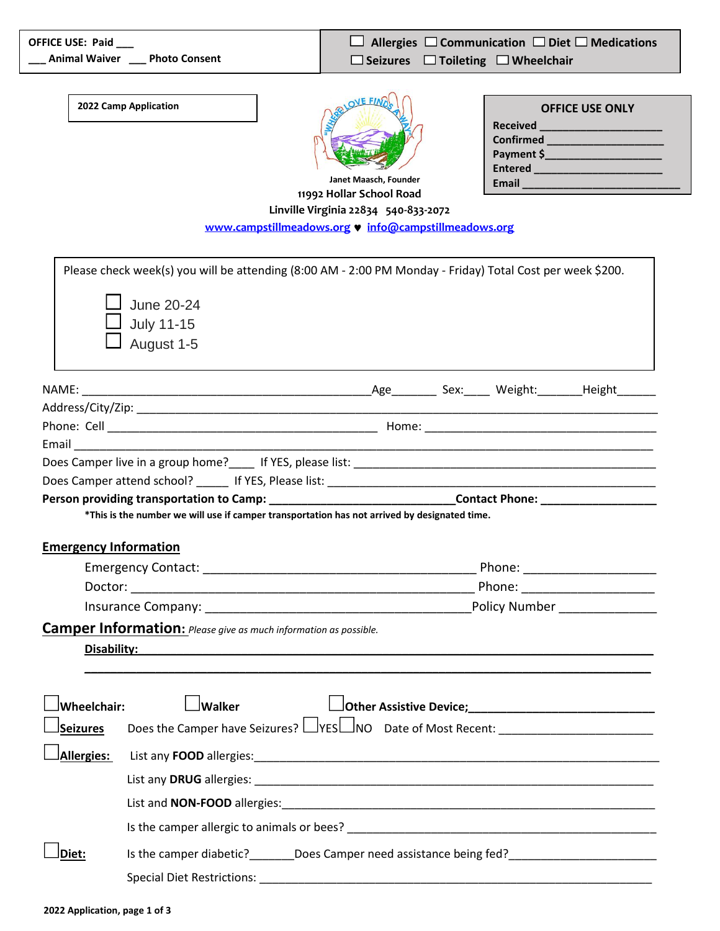| OFFICE USE: Paid               | __ Animal Waiver __ Photo Consent                                                                                                                                                                                                         |                                                                                                                                                   | $\Box$ Seizures $\Box$ Toileting $\Box$ Wheelchair | Allergies $\Box$ Communication $\Box$ Diet $\Box$ Medications |
|--------------------------------|-------------------------------------------------------------------------------------------------------------------------------------------------------------------------------------------------------------------------------------------|---------------------------------------------------------------------------------------------------------------------------------------------------|----------------------------------------------------|---------------------------------------------------------------|
|                                | 2022 Camp Application                                                                                                                                                                                                                     | Janet Maasch, Founder<br>11992 Hollar School Road<br>Linville Virginia 22834 540-833-2072<br>www.campstillmeadows.org v info@campstillmeadows.org |                                                    | <b>OFFICE USE ONLY</b><br>Confirmed ______________________    |
|                                | Please check week(s) you will be attending (8:00 AM - 2:00 PM Monday - Friday) Total Cost per week \$200.<br><b>June 20-24</b><br>July 11-15<br>August 1-5                                                                                |                                                                                                                                                   |                                                    |                                                               |
|                                |                                                                                                                                                                                                                                           |                                                                                                                                                   |                                                    |                                                               |
|                                |                                                                                                                                                                                                                                           |                                                                                                                                                   |                                                    |                                                               |
|                                | Person providing transportation to Camp: ________________________________Contact Phone: ______________________<br>*This is the number we will use if camper transportation has not arrived by designated time.                            |                                                                                                                                                   |                                                    |                                                               |
| <b>Emergency Information</b>   |                                                                                                                                                                                                                                           |                                                                                                                                                   |                                                    |                                                               |
|                                |                                                                                                                                                                                                                                           |                                                                                                                                                   |                                                    | Phone: _______________________                                |
|                                |                                                                                                                                                                                                                                           |                                                                                                                                                   |                                                    |                                                               |
|                                |                                                                                                                                                                                                                                           |                                                                                                                                                   |                                                    |                                                               |
|                                | <b>Camper Information:</b> Please give as much information as possible.<br>Disability:                                                                                                                                                    |                                                                                                                                                   |                                                    |                                                               |
| Wheelchair:<br><b>Seizures</b> | $\operatorname{\mathsf{Iw}}$ alker<br>Does the Camper have Seizures? LVESLINO Date of Most Recent: ___________________                                                                                                                    | Other Assistive Device; 1997)                                                                                                                     |                                                    |                                                               |
|                                |                                                                                                                                                                                                                                           |                                                                                                                                                   |                                                    |                                                               |
| Allergies:                     |                                                                                                                                                                                                                                           |                                                                                                                                                   |                                                    |                                                               |
|                                |                                                                                                                                                                                                                                           |                                                                                                                                                   |                                                    |                                                               |
|                                | List and <b>NON-FOOD</b> allergies: <b>All and Security and Security and Security and Security and Security and Security and Security and Security and Security and Security and Security and Security and Security and Security and </b> |                                                                                                                                                   |                                                    |                                                               |
|                                |                                                                                                                                                                                                                                           |                                                                                                                                                   |                                                    |                                                               |
| Diet:                          | Is the camper diabetic? ________Does Camper need assistance being fed? ____________________________                                                                                                                                       |                                                                                                                                                   |                                                    |                                                               |
|                                |                                                                                                                                                                                                                                           |                                                                                                                                                   |                                                    |                                                               |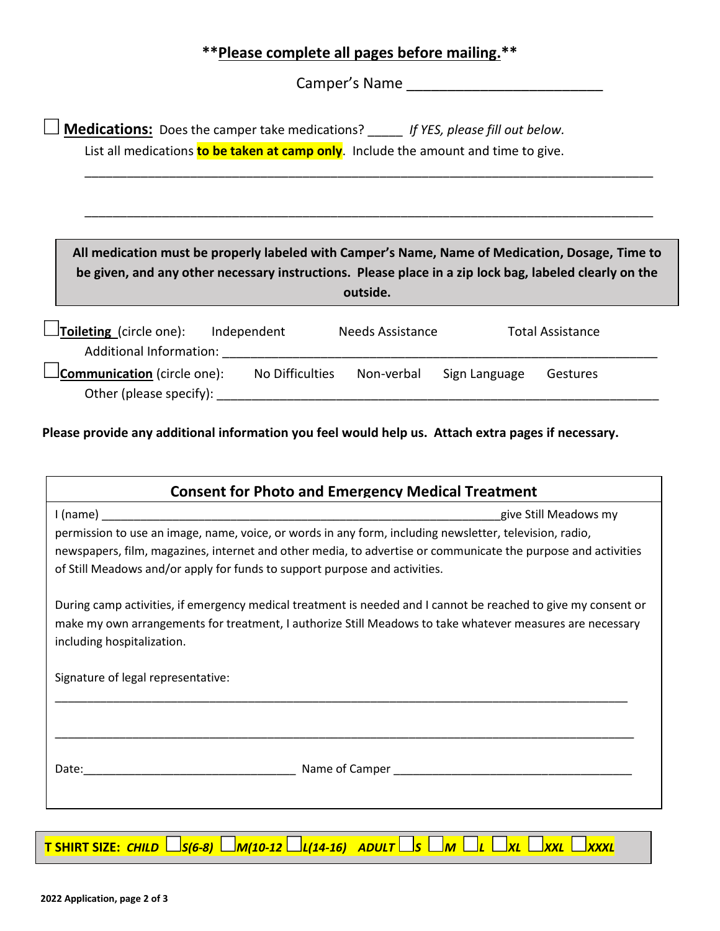## **\*\*Please complete all pages before mailing.\*\***

Camper's Name

**Medications:** Does the camper take medications? \_\_\_\_\_ *If YES, please fill out below.* List all medications **to be taken at camp only**. Include the amount and time to give.

**All medication must be properly labeled with Camper's Name, Name of Medication, Dosage, Time to be given, and any other necessary instructions. Please place in a zip lock bag, labeled clearly on the outside.**

\_\_\_\_\_\_\_\_\_\_\_\_\_\_\_\_\_\_\_\_\_\_\_\_\_\_\_\_\_\_\_\_\_\_\_\_\_\_\_\_\_\_\_\_\_\_\_\_\_\_\_\_\_\_\_\_\_\_\_\_\_\_\_\_\_\_\_\_\_\_\_\_\_\_\_\_\_\_\_\_\_

\_\_\_\_\_\_\_\_\_\_\_\_\_\_\_\_\_\_\_\_\_\_\_\_\_\_\_\_\_\_\_\_\_\_\_\_\_\_\_\_\_\_\_\_\_\_\_\_\_\_\_\_\_\_\_\_\_\_\_\_\_\_\_\_\_\_\_\_\_\_\_\_\_\_\_\_\_\_\_\_\_

| $\Box$ Toileting (circle one):     | Independent     | <b>Needs Assistance</b> |               | <b>Total Assistance</b> |  |  |
|------------------------------------|-----------------|-------------------------|---------------|-------------------------|--|--|
| Additional Information:            |                 |                         |               |                         |  |  |
| $\Box$ Communication (circle one): | No Difficulties | Non-verbal              | Sign Language | Gestures                |  |  |
| Other (please specify):            |                 |                         |               |                         |  |  |

**Please provide any additional information you feel would help us. Attach extra pages if necessary.**

| <b>Consent for Photo and Emergency Medical Treatment</b>                                                                                                                                                                                                  |  |  |  |  |  |
|-----------------------------------------------------------------------------------------------------------------------------------------------------------------------------------------------------------------------------------------------------------|--|--|--|--|--|
| give Still Meadows my                                                                                                                                                                                                                                     |  |  |  |  |  |
| permission to use an image, name, voice, or words in any form, including newsletter, television, radio,                                                                                                                                                   |  |  |  |  |  |
| newspapers, film, magazines, internet and other media, to advertise or communicate the purpose and activities                                                                                                                                             |  |  |  |  |  |
| of Still Meadows and/or apply for funds to support purpose and activities.                                                                                                                                                                                |  |  |  |  |  |
| During camp activities, if emergency medical treatment is needed and I cannot be reached to give my consent or<br>make my own arrangements for treatment, I authorize Still Meadows to take whatever measures are necessary<br>including hospitalization. |  |  |  |  |  |
| Signature of legal representative:                                                                                                                                                                                                                        |  |  |  |  |  |
|                                                                                                                                                                                                                                                           |  |  |  |  |  |
|                                                                                                                                                                                                                                                           |  |  |  |  |  |
|                                                                                                                                                                                                                                                           |  |  |  |  |  |
|                                                                                                                                                                                                                                                           |  |  |  |  |  |